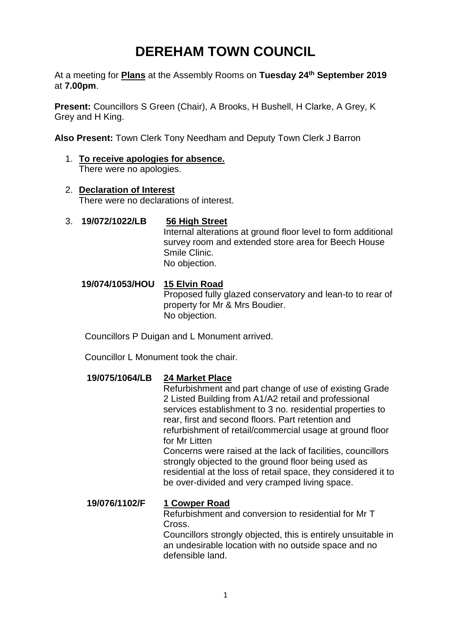# **DEREHAM TOWN COUNCIL**

At a meeting for **Plans** at the Assembly Rooms on **Tuesday 24th September 2019** at **7.00pm**.

**Present:** Councillors S Green (Chair), A Brooks, H Bushell, H Clarke, A Grey, K Grey and H King.

**Also Present:** Town Clerk Tony Needham and Deputy Town Clerk J Barron

- 1. **To receive apologies for absence.**  There were no apologies.
- 2. **Declaration of Interest** There were no declarations of interest.
- 3. **19/072/1022/LB 56 High Street**  Internal alterations at ground floor level to form additional survey room and extended store area for Beech House Smile Clinic. No objection.

## **19/074/1053/HOU 15 Elvin Road**

Proposed fully glazed conservatory and lean-to to rear of property for Mr & Mrs Boudier. No objection.

Councillors P Duigan and L Monument arrived.

Councillor L Monument took the chair.

## **19/075/1064/LB 24 Market Place**

Refurbishment and part change of use of existing Grade 2 Listed Building from A1/A2 retail and professional services establishment to 3 no. residential properties to rear, first and second floors. Part retention and refurbishment of retail/commercial usage at ground floor for Mr Litten

Concerns were raised at the lack of facilities, councillors strongly objected to the ground floor being used as residential at the loss of retail space, they considered it to be over-divided and very cramped living space.

## **19/076/1102/F 1 Cowper Road**

Refurbishment and conversion to residential for Mr T Cross.

Councillors strongly objected, this is entirely unsuitable in an undesirable location with no outside space and no defensible land.